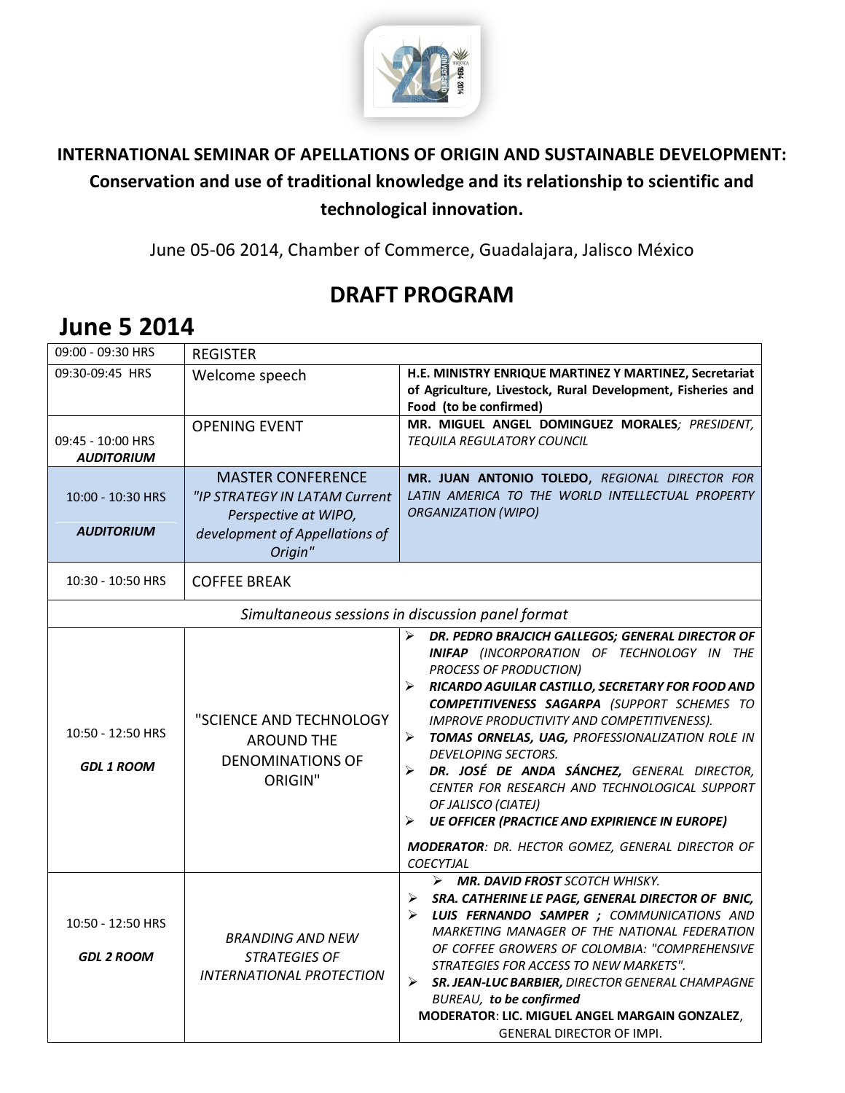

### **INTERNATIONAL SEMINAR OF APELLATIONS OF ORIGIN AND SUSTAINABLE DEVELOPMENT: Conservation and use of traditional knowledge and its relationship to scientific and technological innovation.**

June 05-06 2014, Chamber of Commerce, Guadalajara, Jalisco México

## **DRAFT PROGRAM**

| 09:00 - 09:30 HRS                                | <b>REGISTER</b>                                                                                                                |                                                                                                                                                                                                                                                                                                                                                                                                                                                                                                                                                                                                                                   |  |  |
|--------------------------------------------------|--------------------------------------------------------------------------------------------------------------------------------|-----------------------------------------------------------------------------------------------------------------------------------------------------------------------------------------------------------------------------------------------------------------------------------------------------------------------------------------------------------------------------------------------------------------------------------------------------------------------------------------------------------------------------------------------------------------------------------------------------------------------------------|--|--|
| 09:30-09:45 HRS                                  | Welcome speech                                                                                                                 | H.E. MINISTRY ENRIQUE MARTINEZ Y MARTINEZ, Secretariat<br>of Agriculture, Livestock, Rural Development, Fisheries and<br>Food (to be confirmed)                                                                                                                                                                                                                                                                                                                                                                                                                                                                                   |  |  |
| 09:45 - 10:00 HRS<br><b>AUDITORIUM</b>           | <b>OPENING EVENT</b>                                                                                                           | MR. MIGUEL ANGEL DOMINGUEZ MORALES; PRESIDENT,<br><b>TEQUILA REGULATORY COUNCIL</b>                                                                                                                                                                                                                                                                                                                                                                                                                                                                                                                                               |  |  |
| 10:00 - 10:30 HRS<br><b>AUDITORIUM</b>           | <b>MASTER CONFERENCE</b><br>"IP STRATEGY IN LATAM Current<br>Perspective at WIPO,<br>development of Appellations of<br>Origin" | MR. JUAN ANTONIO TOLEDO, REGIONAL DIRECTOR FOR<br>LATIN AMERICA TO THE WORLD INTELLECTUAL PROPERTY<br><b>ORGANIZATION (WIPO)</b>                                                                                                                                                                                                                                                                                                                                                                                                                                                                                                  |  |  |
| 10:30 - 10:50 HRS                                | <b>COFFEE BREAK</b>                                                                                                            |                                                                                                                                                                                                                                                                                                                                                                                                                                                                                                                                                                                                                                   |  |  |
| Simultaneous sessions in discussion panel format |                                                                                                                                |                                                                                                                                                                                                                                                                                                                                                                                                                                                                                                                                                                                                                                   |  |  |
| 10:50 - 12:50 HRS<br><b>GDL 1 ROOM</b>           | "SCIENCE AND TECHNOLOGY<br><b>AROUND THE</b><br><b>DENOMINATIONS OF</b><br><b>ORIGIN"</b>                                      | DR. PEDRO BRAJCICH GALLEGOS; GENERAL DIRECTOR OF<br>➤<br>INIFAP (INCORPORATION OF TECHNOLOGY IN THE<br><b>PROCESS OF PRODUCTION)</b><br>RICARDO AGUILAR CASTILLO, SECRETARY FOR FOOD AND<br>COMPETITIVENESS SAGARPA (SUPPORT SCHEMES TO<br>IMPROVE PRODUCTIVITY AND COMPETITIVENESS).<br>TOMAS ORNELAS, UAG, PROFESSIONALIZATION ROLE IN<br>➤<br>DEVELOPING SECTORS.<br>DR. JOSÉ DE ANDA SÁNCHEZ, GENERAL DIRECTOR,<br>CENTER FOR RESEARCH AND TECHNOLOGICAL SUPPORT<br>OF JALISCO (CIATEJ)<br><b>UE OFFICER (PRACTICE AND EXPIRIENCE IN EUROPE)</b><br>➤<br>MODERATOR: DR. HECTOR GOMEZ, GENERAL DIRECTOR OF<br><b>COECYTJAL</b> |  |  |
| 10:50 - 12:50 HRS<br><b>GDL 2 ROOM</b>           | <b>BRANDING AND NEW</b><br><b>STRATEGIES OF</b><br><b>INTERNATIONAL PROTECTION</b>                                             | $\triangleright$ MR. DAVID FROST SCOTCH WHISKY.<br>SRA. CATHERINE LE PAGE, GENERAL DIRECTOR OF BNIC,<br>≻<br>LUIS FERNANDO SAMPER ; COMMUNICATIONS AND<br>➤<br>MARKETING MANAGER OF THE NATIONAL FEDERATION<br>OF COFFEE GROWERS OF COLOMBIA: "COMPREHENSIVE<br>STRATEGIES FOR ACCESS TO NEW MARKETS".<br>SR. JEAN-LUC BARBIER, DIRECTOR GENERAL CHAMPAGNE<br>$\blacktriangleright$<br><b>BUREAU, to be confirmed</b><br>MODERATOR: LIC. MIGUEL ANGEL MARGAIN GONZALEZ,<br><b>GENERAL DIRECTOR OF IMPI.</b>                                                                                                                       |  |  |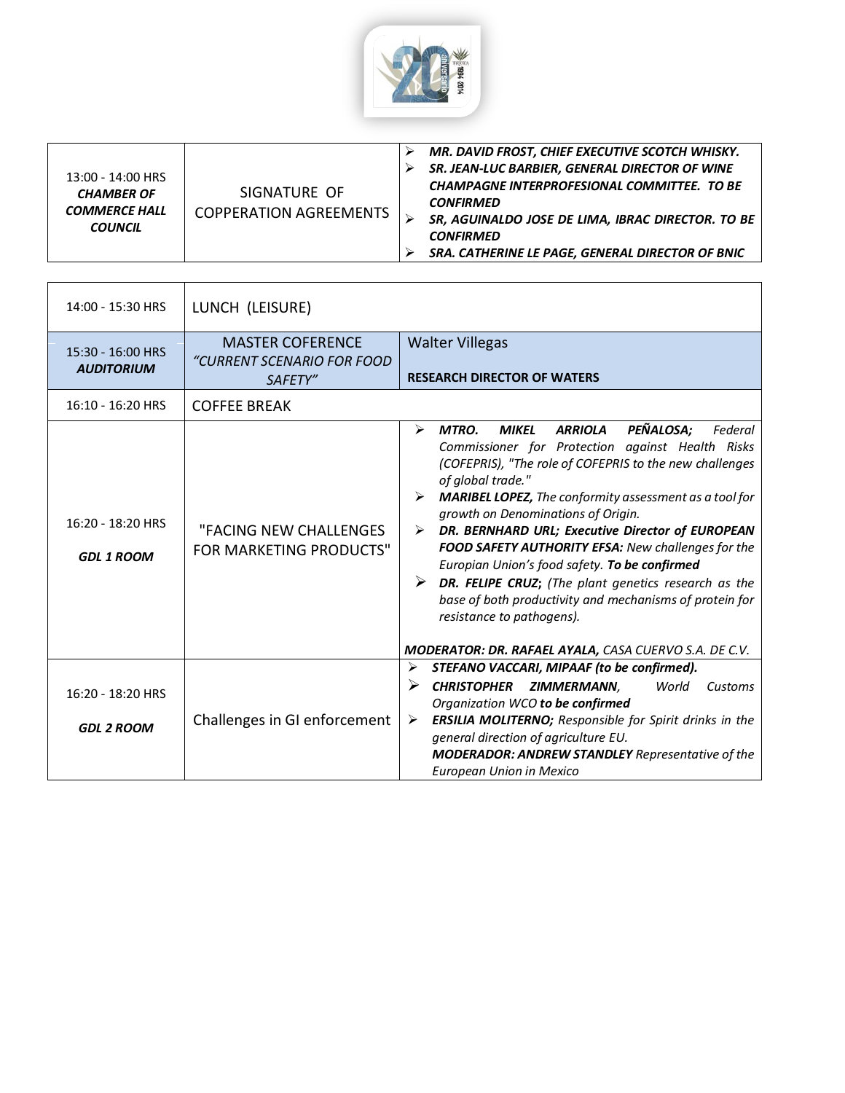

| 13:00 - 14:00 HRS<br><b>CHAMBER OF</b><br><b>COMMERCE HALL</b><br><b>COUNCIL</b> | SIGNATURE OF<br><b>COPPERATION AGREEMENTS</b> |  | MR. DAVID FROST, CHIEF EXECUTIVE SCOTCH WHISKY.<br>SR. JEAN-LUC BARBIER, GENERAL DIRECTOR OF WINE<br><b>CHAMPAGNE INTERPROFESIONAL COMMITTEE. TO BE</b><br><b>CONFIRMED</b><br>SR, AGUINALDO JOSE DE LIMA, IBRAC DIRECTOR. TO BE<br><b>CONFIRMED</b><br>SRA. CATHERINE LE PAGE, GENERAL DIRECTOR OF BNIC |
|----------------------------------------------------------------------------------|-----------------------------------------------|--|----------------------------------------------------------------------------------------------------------------------------------------------------------------------------------------------------------------------------------------------------------------------------------------------------------|
|----------------------------------------------------------------------------------|-----------------------------------------------|--|----------------------------------------------------------------------------------------------------------------------------------------------------------------------------------------------------------------------------------------------------------------------------------------------------------|

| 14:00 - 15:30 HRS                      | LUNCH (LEISURE)                                                  |                                                                                                                                                                                                                                                                                                                                                                                                                                                                                                                                                                                                                                                                                                                                      |
|----------------------------------------|------------------------------------------------------------------|--------------------------------------------------------------------------------------------------------------------------------------------------------------------------------------------------------------------------------------------------------------------------------------------------------------------------------------------------------------------------------------------------------------------------------------------------------------------------------------------------------------------------------------------------------------------------------------------------------------------------------------------------------------------------------------------------------------------------------------|
| 15:30 - 16:00 HRS<br><b>AUDITORIUM</b> | <b>MASTER COFERENCE</b><br>"CURRENT SCENARIO FOR FOOD<br>SAFETY" | <b>Walter Villegas</b><br><b>RESEARCH DIRECTOR OF WATERS</b>                                                                                                                                                                                                                                                                                                                                                                                                                                                                                                                                                                                                                                                                         |
| 16:10 - 16:20 HRS                      | <b>COFFEE BREAK</b>                                              |                                                                                                                                                                                                                                                                                                                                                                                                                                                                                                                                                                                                                                                                                                                                      |
| 16:20 - 18:20 HRS<br><b>GDL 1 ROOM</b> | "FACING NEW CHALLENGES<br><b>FOR MARKETING PRODUCTS"</b>         | PEÑALOSA;<br>$\blacktriangleright$<br><b>MTRO.</b><br><b>MIKEL</b><br><b>ARRIOLA</b><br>Federal<br>Commissioner for Protection against Health Risks<br>(COFEPRIS), "The role of COFEPRIS to the new challenges<br>of global trade."<br><b>MARIBEL LOPEZ, The conformity assessment as a tool for</b><br>➤<br>growth on Denominations of Origin.<br>DR. BERNHARD URL; Executive Director of EUROPEAN<br>➤<br>FOOD SAFETY AUTHORITY EFSA: New challenges for the<br>Europian Union's food safety. To be confirmed<br>➤<br><b>DR. FELIPE CRUZ;</b> (The plant genetics research as the<br>base of both productivity and mechanisms of protein for<br>resistance to pathogens).<br>MODERATOR: DR. RAFAEL AYALA, CASA CUERVO S.A. DE C.V. |
| 16:20 - 18:20 HRS<br><b>GDL 2 ROOM</b> | Challenges in GI enforcement                                     | ➤<br>STEFANO VACCARI, MIPAAF (to be confirmed).<br>➤<br><b>CHRISTOPHER</b><br>ZIMMERMANN,<br>World<br>Customs<br>Organization WCO to be confirmed<br><b>ERSILIA MOLITERNO;</b> Responsible for Spirit drinks in the<br>➤<br>general direction of agriculture EU.<br><b>MODERADOR: ANDREW STANDLEY</b> Representative of the<br>European Union in Mexico                                                                                                                                                                                                                                                                                                                                                                              |